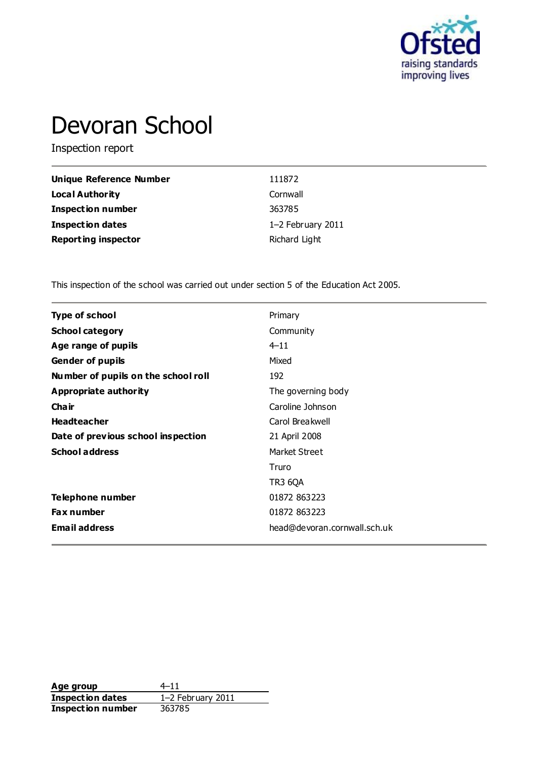

# Devoran School

Inspection report

| Unique Reference Number    | 111872            |
|----------------------------|-------------------|
| Local Authority            | Cornwall          |
| <b>Inspection number</b>   | 363785            |
| Inspection dates           | 1-2 February 2011 |
| <b>Reporting inspector</b> | Richard Light     |

This inspection of the school was carried out under section 5 of the Education Act 2005.

| <b>Type of school</b>               | Primary                      |
|-------------------------------------|------------------------------|
| <b>School category</b>              | Community                    |
| Age range of pupils                 | $4 - 11$                     |
| <b>Gender of pupils</b>             | Mixed                        |
| Number of pupils on the school roll | 192                          |
| <b>Appropriate authority</b>        | The governing body           |
| Cha ir                              | Caroline Johnson             |
| <b>Headteacher</b>                  | Carol Breakwell              |
| Date of previous school inspection  | 21 April 2008                |
| <b>School address</b>               | Market Street                |
|                                     | Truro                        |
|                                     | <b>TR3 6QA</b>               |
| Telephone number                    | 01872 863223                 |
| <b>Fax number</b>                   | 01872 863223                 |
| <b>Email address</b>                | head@devoran.cornwall.sch.uk |
|                                     |                              |

**Age group**  $4-11$ <br> **Inspection dates**  $1-2$  February 2011 **Inspection dates** 1–2 February 2011 **Inspection number** 363785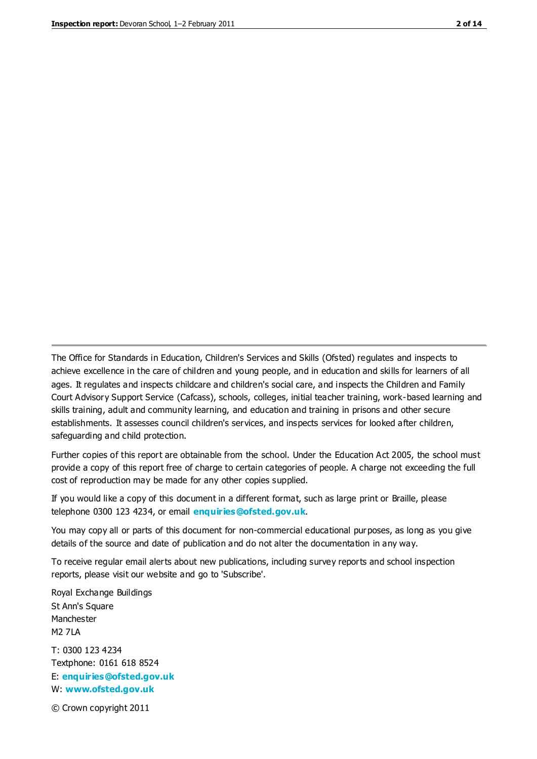The Office for Standards in Education, Children's Services and Skills (Ofsted) regulates and inspects to achieve excellence in the care of children and young people, and in education and skills for learners of all ages. It regulates and inspects childcare and children's social care, and inspects the Children and Family Court Advisory Support Service (Cafcass), schools, colleges, initial teacher training, work-based learning and skills training, adult and community learning, and education and training in prisons and other secure establishments. It assesses council children's services, and inspects services for looked after children, safeguarding and child protection.

Further copies of this report are obtainable from the school. Under the Education Act 2005, the school must provide a copy of this report free of charge to certain categories of people. A charge not exceeding the full cost of reproduction may be made for any other copies supplied.

If you would like a copy of this document in a different format, such as large print or Braille, please telephone 0300 123 4234, or email **[enquiries@ofsted.gov.uk](mailto:enquiries@ofsted.gov.uk)**.

You may copy all or parts of this document for non-commercial educational purposes, as long as you give details of the source and date of publication and do not alter the documentation in any way.

To receive regular email alerts about new publications, including survey reports and school inspection reports, please visit our website and go to 'Subscribe'.

Royal Exchange Buildings St Ann's Square Manchester M2 7LA T: 0300 123 4234 Textphone: 0161 618 8524 E: **[enquiries@ofsted.gov.uk](mailto:enquiries@ofsted.gov.uk)**

W: **[www.ofsted.gov.uk](http://www.ofsted.gov.uk/)**

© Crown copyright 2011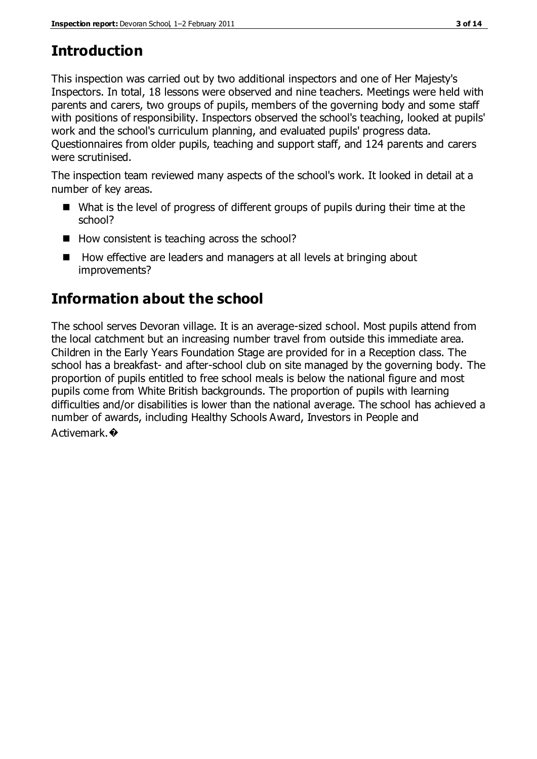# **Introduction**

This inspection was carried out by two additional inspectors and one of Her Majesty's Inspectors. In total, 18 lessons were observed and nine teachers. Meetings were held with parents and carers, two groups of pupils, members of the governing body and some staff with positions of responsibility. Inspectors observed the school's teaching, looked at pupils' work and the school's curriculum planning, and evaluated pupils' progress data. Questionnaires from older pupils, teaching and support staff, and 124 parents and carers were scrutinised.

The inspection team reviewed many aspects of the school's work. It looked in detail at a number of key areas.

- What is the level of progress of different groups of pupils during their time at the school?
- $\blacksquare$  How consistent is teaching across the school?
- How effective are leaders and managers at all levels at bringing about improvements?

# **Information about the school**

The school serves Devoran village. It is an average-sized school. Most pupils attend from the local catchment but an increasing number travel from outside this immediate area. Children in the Early Years Foundation Stage are provided for in a Reception class. The school has a breakfast- and after-school club on site managed by the governing body. The proportion of pupils entitled to free school meals is below the national figure and most pupils come from White British backgrounds. The proportion of pupils with learning difficulties and/or disabilities is lower than the national average. The school has achieved a number of awards, including Healthy Schools Award, Investors in People and Activemark.�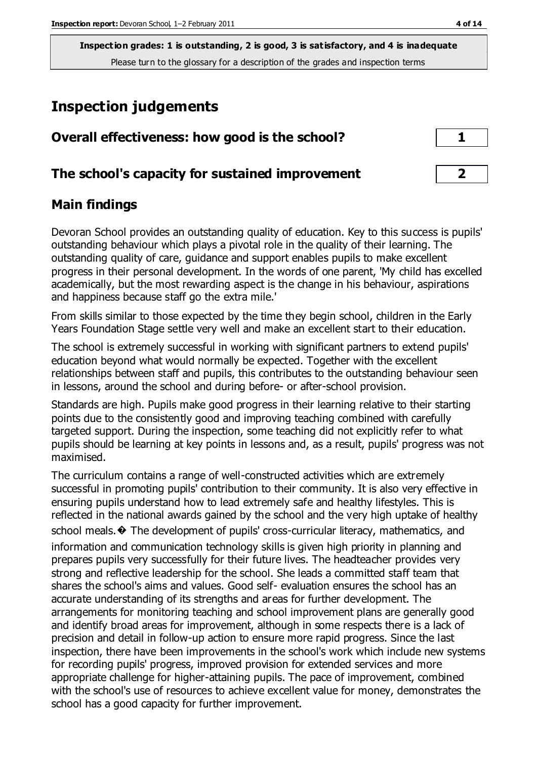# **Inspection judgements**

| Overall effectiveness: how good is the school?  |  |
|-------------------------------------------------|--|
| The school's capacity for sustained improvement |  |

# **Main findings**

Devoran School provides an outstanding quality of education. Key to this success is pupils' outstanding behaviour which plays a pivotal role in the quality of their learning. The outstanding quality of care, guidance and support enables pupils to make excellent progress in their personal development. In the words of one parent, 'My child has excelled academically, but the most rewarding aspect is the change in his behaviour, aspirations and happiness because staff go the extra mile.'

From skills similar to those expected by the time they begin school, children in the Early Years Foundation Stage settle very well and make an excellent start to their education.

The school is extremely successful in working with significant partners to extend pupils' education beyond what would normally be expected. Together with the excellent relationships between staff and pupils, this contributes to the outstanding behaviour seen in lessons, around the school and during before- or after-school provision.

Standards are high. Pupils make good progress in their learning relative to their starting points due to the consistently good and improving teaching combined with carefully targeted support. During the inspection, some teaching did not explicitly refer to what pupils should be learning at key points in lessons and, as a result, pupils' progress was not maximised.

The curriculum contains a range of well-constructed activities which are extremely successful in promoting pupils' contribution to their community. It is also very effective in ensuring pupils understand how to lead extremely safe and healthy lifestyles. This is reflected in the national awards gained by the school and the very high uptake of healthy school meals. $\hat{\mathbf{\diamond}}$  The development of pupils' cross-curricular literacy, mathematics, and information and communication technology skills is given high priority in planning and prepares pupils very successfully for their future lives. The headteacher provides very strong and reflective leadership for the school. She leads a committed staff team that shares the school's aims and values. Good self- evaluation ensures the school has an accurate understanding of its strengths and areas for further development. The arrangements for monitoring teaching and school improvement plans are generally good and identify broad areas for improvement, although in some respects there is a lack of precision and detail in follow-up action to ensure more rapid progress. Since the last inspection, there have been improvements in the school's work which include new systems for recording pupils' progress, improved provision for extended services and more appropriate challenge for higher-attaining pupils. The pace of improvement, combined with the school's use of resources to achieve excellent value for money, demonstrates the school has a good capacity for further improvement.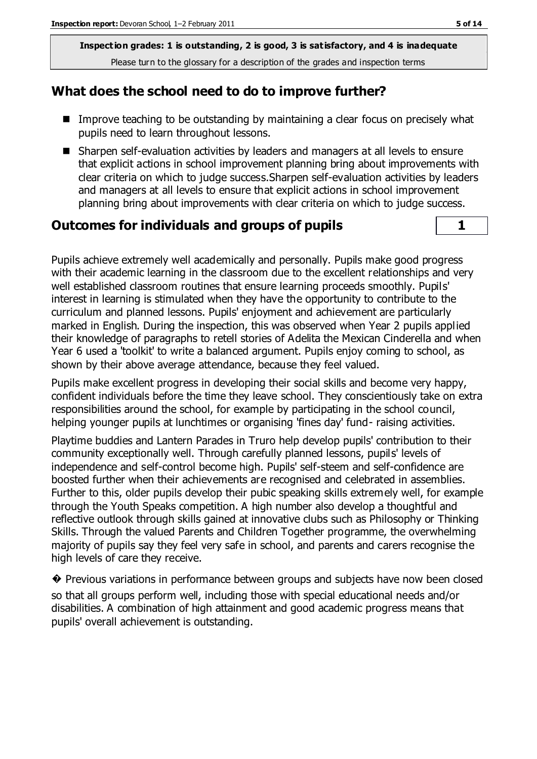# **What does the school need to do to improve further?**

- Improve teaching to be outstanding by maintaining a clear focus on precisely what pupils need to learn throughout lessons.
- Sharpen self-evaluation activities by leaders and managers at all levels to ensure that explicit actions in school improvement planning bring about improvements with clear criteria on which to judge success.Sharpen self-evaluation activities by leaders and managers at all levels to ensure that explicit actions in school improvement planning bring about improvements with clear criteria on which to judge success.

# **Outcomes for individuals and groups of pupils 1**

Pupils achieve extremely well academically and personally. Pupils make good progress with their academic learning in the classroom due to the excellent relationships and very well established classroom routines that ensure learning proceeds smoothly. Pupils' interest in learning is stimulated when they have the opportunity to contribute to the curriculum and planned lessons. Pupils' enjoyment and achievement are particularly marked in English. During the inspection, this was observed when Year 2 pupils applied their knowledge of paragraphs to retell stories of Adelita the Mexican Cinderella and when Year 6 used a 'toolkit' to write a balanced argument. Pupils enjoy coming to school, as shown by their above average attendance, because they feel valued.

Pupils make excellent progress in developing their social skills and become very happy, confident individuals before the time they leave school. They conscientiously take on extra responsibilities around the school, for example by participating in the school council, helping younger pupils at lunchtimes or organising 'fines day' fund- raising activities.

Playtime buddies and Lantern Parades in Truro help develop pupils' contribution to their community exceptionally well. Through carefully planned lessons, pupils' levels of independence and self-control become high. Pupils' self-steem and self-confidence are boosted further when their achievements are recognised and celebrated in assemblies. Further to this, older pupils develop their pubic speaking skills extremely well, for example through the Youth Speaks competition. A high number also develop a thoughtful and reflective outlook through skills gained at innovative clubs such as Philosophy or Thinking Skills. Through the valued Parents and Children Together programme, the overwhelming majority of pupils say they feel very safe in school, and parents and carers recognise the high levels of care they receive.

� Previous variations in performance between groups and subjects have now been closed so that all groups perform well, including those with special educational needs and/or disabilities. A combination of high attainment and good academic progress means that pupils' overall achievement is outstanding.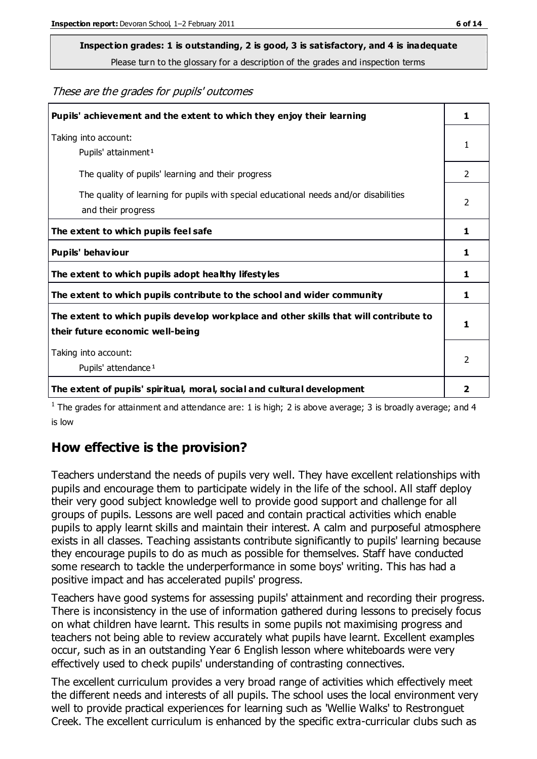# **Inspection grades: 1 is outstanding, 2 is good, 3 is satisfactory, and 4 is inadequate**

Please turn to the glossary for a description of the grades and inspection terms

#### These are the grades for pupils' outcomes

| Pupils' achievement and the extent to which they enjoy their learning                                                     | 1                       |
|---------------------------------------------------------------------------------------------------------------------------|-------------------------|
| Taking into account:<br>Pupils' attainment <sup>1</sup>                                                                   | 1                       |
| The quality of pupils' learning and their progress                                                                        | $\mathcal{P}$           |
| The quality of learning for pupils with special educational needs and/or disabilities<br>and their progress               | 2                       |
| The extent to which pupils feel safe                                                                                      | 1                       |
| Pupils' behaviour                                                                                                         | 1                       |
| The extent to which pupils adopt healthy lifestyles                                                                       | 1                       |
| The extent to which pupils contribute to the school and wider community                                                   | 1                       |
| The extent to which pupils develop workplace and other skills that will contribute to<br>their future economic well-being |                         |
| Taking into account:<br>Pupils' attendance <sup>1</sup>                                                                   | $\mathcal{P}$           |
| The extent of pupils' spiritual, moral, social and cultural development                                                   | $\overline{\mathbf{2}}$ |

<sup>1</sup> The grades for attainment and attendance are: 1 is high; 2 is above average; 3 is broadly average; and 4 is low

# **How effective is the provision?**

Teachers understand the needs of pupils very well. They have excellent relationships with pupils and encourage them to participate widely in the life of the school. All staff deploy their very good subject knowledge well to provide good support and challenge for all groups of pupils. Lessons are well paced and contain practical activities which enable pupils to apply learnt skills and maintain their interest. A calm and purposeful atmosphere exists in all classes. Teaching assistants contribute significantly to pupils' learning because they encourage pupils to do as much as possible for themselves. Staff have conducted some research to tackle the underperformance in some boys' writing. This has had a positive impact and has accelerated pupils' progress.

Teachers have good systems for assessing pupils' attainment and recording their progress. There is inconsistency in the use of information gathered during lessons to precisely focus on what children have learnt. This results in some pupils not maximising progress and teachers not being able to review accurately what pupils have learnt. Excellent examples occur, such as in an outstanding Year 6 English lesson where whiteboards were very effectively used to check pupils' understanding of contrasting connectives.

The excellent curriculum provides a very broad range of activities which effectively meet the different needs and interests of all pupils. The school uses the local environment very well to provide practical experiences for learning such as 'Wellie Walks' to Restronguet Creek. The excellent curriculum is enhanced by the specific extra-curricular clubs such as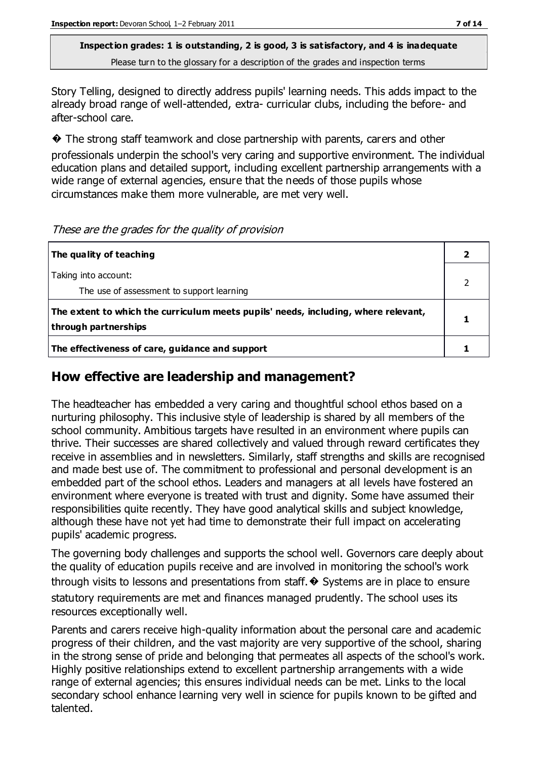Story Telling, designed to directly address pupils' learning needs. This adds impact to the already broad range of well-attended, extra- curricular clubs, including the before- and after-school care.

� The strong staff teamwork and close partnership with parents, carers and other

professionals underpin the school's very caring and supportive environment. The individual education plans and detailed support, including excellent partnership arrangements with a wide range of external agencies, ensure that the needs of those pupils whose circumstances make them more vulnerable, are met very well.

| The quality of teaching                                                                                    |  |
|------------------------------------------------------------------------------------------------------------|--|
| Taking into account:<br>The use of assessment to support learning                                          |  |
| The extent to which the curriculum meets pupils' needs, including, where relevant,<br>through partnerships |  |
| The effectiveness of care, guidance and support                                                            |  |

#### These are the grades for the quality of provision

# **How effective are leadership and management?**

The headteacher has embedded a very caring and thoughtful school ethos based on a nurturing philosophy. This inclusive style of leadership is shared by all members of the school community. Ambitious targets have resulted in an environment where pupils can thrive. Their successes are shared collectively and valued through reward certificates they receive in assemblies and in newsletters. Similarly, staff strengths and skills are recognised and made best use of. The commitment to professional and personal development is an embedded part of the school ethos. Leaders and managers at all levels have fostered an environment where everyone is treated with trust and dignity. Some have assumed their responsibilities quite recently. They have good analytical skills and subject knowledge, although these have not yet had time to demonstrate their full impact on accelerating pupils' academic progress.

The governing body challenges and supports the school well. Governors care deeply about the quality of education pupils receive and are involved in monitoring the school's work through visits to lessons and presentations from staff.  $\odot$  Systems are in place to ensure statutory requirements are met and finances managed prudently. The school uses its resources exceptionally well.

Parents and carers receive high-quality information about the personal care and academic progress of their children, and the vast majority are very supportive of the school, sharing in the strong sense of pride and belonging that permeates all aspects of the school's work. Highly positive relationships extend to excellent partnership arrangements with a wide range of external agencies; this ensures individual needs can be met. Links to the local secondary school enhance learning very well in science for pupils known to be gifted and talented.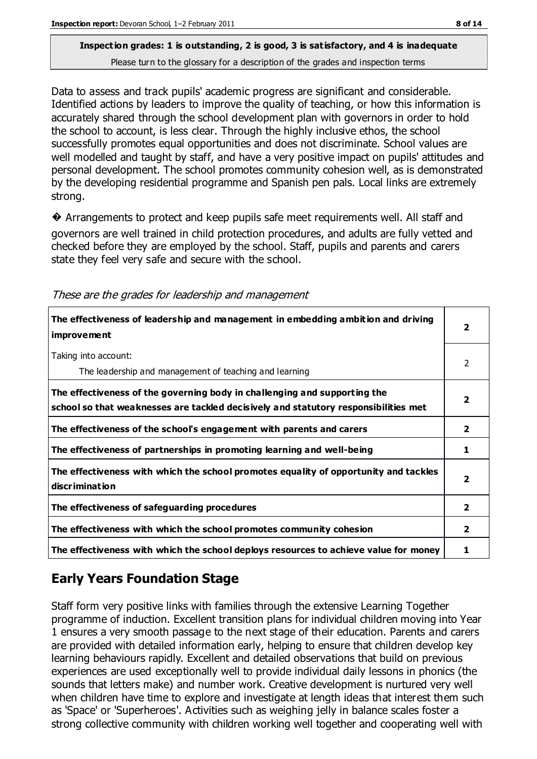Data to assess and track pupils' academic progress are significant and considerable. Identified actions by leaders to improve the quality of teaching, or how this information is accurately shared through the school development plan with governors in order to hold the school to account, is less clear. Through the highly inclusive ethos, the school successfully promotes equal opportunities and does not discriminate. School values are well modelled and taught by staff, and have a very positive impact on pupils' attitudes and personal development. The school promotes community cohesion well, as is demonstrated by the developing residential programme and Spanish pen pals. Local links are extremely strong.

� Arrangements to protect and keep pupils safe meet requirements well. All staff and governors are well trained in child protection procedures, and adults are fully vetted and checked before they are employed by the school. Staff, pupils and parents and carers state they feel very safe and secure with the school.

| The effectiveness of leadership and management in embedding ambition and driving<br><b>improvement</b>                                                           | 2              |
|------------------------------------------------------------------------------------------------------------------------------------------------------------------|----------------|
| Taking into account:<br>The leadership and management of teaching and learning                                                                                   | 2              |
| The effectiveness of the governing body in challenging and supporting the<br>school so that weaknesses are tackled decisively and statutory responsibilities met | 2              |
| The effectiveness of the school's engagement with parents and carers                                                                                             | 2              |
| The effectiveness of partnerships in promoting learning and well-being                                                                                           |                |
| The effectiveness with which the school promotes equality of opportunity and tackles<br>discrimination                                                           | 2              |
| The effectiveness of safeguarding procedures                                                                                                                     | $\overline{2}$ |
| The effectiveness with which the school promotes community cohesion                                                                                              | $\mathbf{2}$   |
| The effectiveness with which the school deploys resources to achieve value for money                                                                             |                |

#### These are the grades for leadership and management

# **Early Years Foundation Stage**

Staff form very positive links with families through the extensive Learning Together programme of induction. Excellent transition plans for individual children moving into Year 1 ensures a very smooth passage to the next stage of their education. Parents and carers are provided with detailed information early, helping to ensure that children develop key learning behaviours rapidly. Excellent and detailed observations that build on previous experiences are used exceptionally well to provide individual daily lessons in phonics (the sounds that letters make) and number work. Creative development is nurtured very well when children have time to explore and investigate at length ideas that interest them such as 'Space' or 'Superheroes'. Activities such as weighing jelly in balance scales foster a strong collective community with children working well together and cooperating well with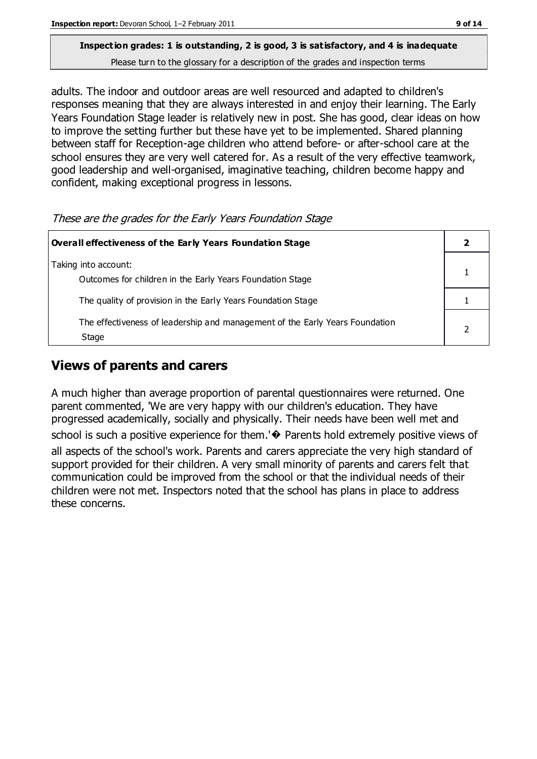adults. The indoor and outdoor areas are well resourced and adapted to children's responses meaning that they are always interested in and enjoy their learning. The Early Years Foundation Stage leader is relatively new in post. She has good, clear ideas on how to improve the setting further but these have yet to be implemented. Shared planning between staff for Reception-age children who attend before- or after-school care at the school ensures they are very well catered for. As a result of the very effective teamwork, good leadership and well-organised, imaginative teaching, children become happy and confident, making exceptional progress in lessons.

These are the grades for the Early Years Foundation Stage

| Overall effectiveness of the Early Years Foundation Stage                             |  |
|---------------------------------------------------------------------------------------|--|
| Taking into account:<br>Outcomes for children in the Early Years Foundation Stage     |  |
| The quality of provision in the Early Years Foundation Stage                          |  |
| The effectiveness of leadership and management of the Early Years Foundation<br>Stage |  |

# **Views of parents and carers**

A much higher than average proportion of parental questionnaires were returned. One parent commented, 'We are very happy with our children's education. They have progressed academically, socially and physically. Their needs have been well met and school is such a positive experience for them.'<sup>•</sup> Parents hold extremely positive views of all aspects of the school's work. Parents and carers appreciate the very high standard of support provided for their children. A very small minority of parents and carers felt that communication could be improved from the school or that the individual needs of their children were not met. Inspectors noted that the school has plans in place to address

these concerns.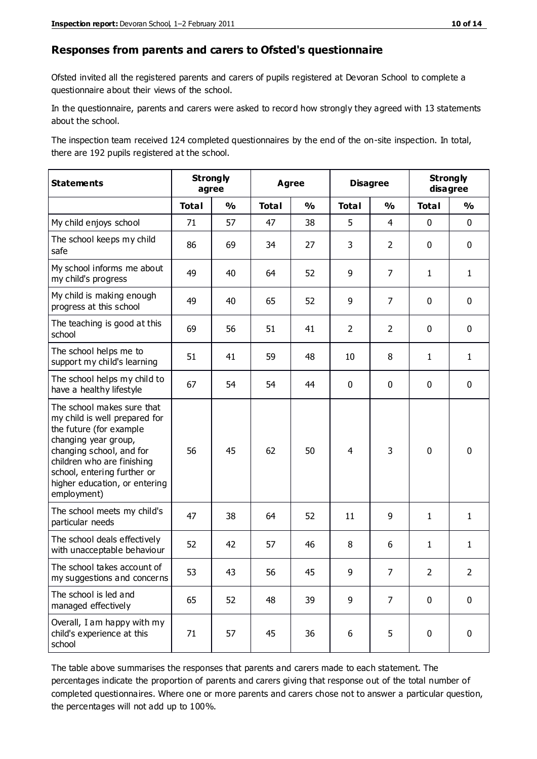#### **Responses from parents and carers to Ofsted's questionnaire**

Ofsted invited all the registered parents and carers of pupils registered at Devoran School to complete a questionnaire about their views of the school.

In the questionnaire, parents and carers were asked to record how strongly they agreed with 13 statements about the school.

The inspection team received 124 completed questionnaires by the end of the on-site inspection. In total, there are 192 pupils registered at the school.

| <b>Statements</b>                                                                                                                                                                                                                                       |              | <b>Strongly</b><br><b>Agree</b><br>agree |              |               | <b>Disagree</b> |                | <b>Strongly</b><br>disagree |               |
|---------------------------------------------------------------------------------------------------------------------------------------------------------------------------------------------------------------------------------------------------------|--------------|------------------------------------------|--------------|---------------|-----------------|----------------|-----------------------------|---------------|
|                                                                                                                                                                                                                                                         | <b>Total</b> | $\frac{0}{0}$                            | <b>Total</b> | $\frac{0}{0}$ | <b>Total</b>    | $\frac{0}{0}$  | <b>Total</b>                | $\frac{0}{0}$ |
| My child enjoys school                                                                                                                                                                                                                                  | 71           | 57                                       | 47           | 38            | 5               | 4              | $\mathbf 0$                 | $\mathbf 0$   |
| The school keeps my child<br>safe                                                                                                                                                                                                                       | 86           | 69                                       | 34           | 27            | 3               | $\overline{2}$ | $\mathbf 0$                 | $\mathbf 0$   |
| My school informs me about<br>my child's progress                                                                                                                                                                                                       | 49           | 40                                       | 64           | 52            | 9               | $\overline{7}$ | $\mathbf{1}$                | $\mathbf{1}$  |
| My child is making enough<br>progress at this school                                                                                                                                                                                                    | 49           | 40                                       | 65           | 52            | 9               | $\overline{7}$ | $\mathbf 0$                 | $\mathbf 0$   |
| The teaching is good at this<br>school                                                                                                                                                                                                                  | 69           | 56                                       | 51           | 41            | $\overline{2}$  | $\overline{2}$ | $\mathbf{0}$                | $\pmb{0}$     |
| The school helps me to<br>support my child's learning                                                                                                                                                                                                   | 51           | 41                                       | 59           | 48            | 10              | 8              | $\mathbf{1}$                | $\mathbf{1}$  |
| The school helps my child to<br>have a healthy lifestyle                                                                                                                                                                                                | 67           | 54                                       | 54           | 44            | 0               | 0              | 0                           | $\mathbf 0$   |
| The school makes sure that<br>my child is well prepared for<br>the future (for example<br>changing year group,<br>changing school, and for<br>children who are finishing<br>school, entering further or<br>higher education, or entering<br>employment) | 56           | 45                                       | 62           | 50            | $\overline{4}$  | 3              | $\mathbf 0$                 | $\mathbf 0$   |
| The school meets my child's<br>particular needs                                                                                                                                                                                                         | 47           | 38                                       | 64           | 52            | 11              | 9              | $\mathbf{1}$                | $\mathbf{1}$  |
| The school deals effectively<br>with unacceptable behaviour                                                                                                                                                                                             | 52           | 42                                       | 57           | 46            | 8               | 6              | $\mathbf{1}$                | $\mathbf{1}$  |
| The school takes account of<br>my suggestions and concerns                                                                                                                                                                                              | 53           | 43                                       | 56           | 45            | 9               | 7              | 2                           | 2             |
| The school is led and<br>managed effectively                                                                                                                                                                                                            | 65           | 52                                       | 48           | 39            | 9               | 7              | $\mathbf 0$                 | $\mathbf 0$   |
| Overall, I am happy with my<br>child's experience at this<br>school                                                                                                                                                                                     | 71           | 57                                       | 45           | 36            | 6               | 5              | $\pmb{0}$                   | $\pmb{0}$     |

The table above summarises the responses that parents and carers made to each statement. The percentages indicate the proportion of parents and carers giving that response out of the total number of completed questionnaires. Where one or more parents and carers chose not to answer a particular question, the percentages will not add up to 100%.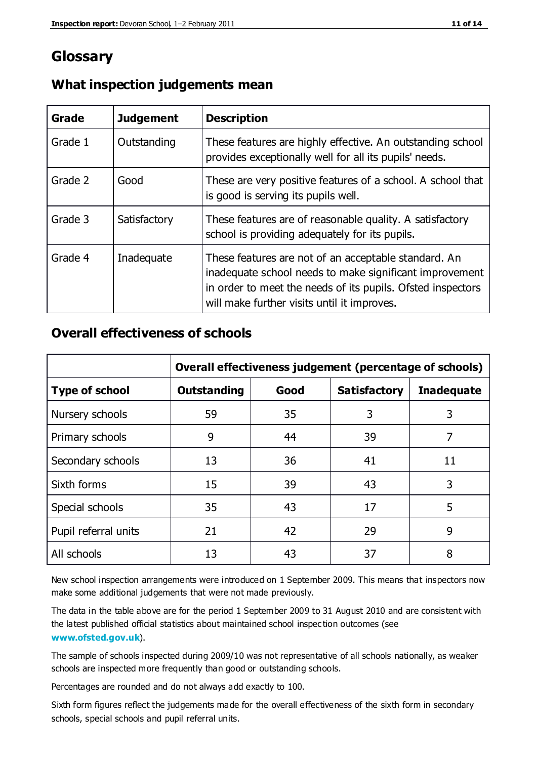# **Glossary**

| Grade   | <b>Judgement</b> | <b>Description</b>                                                                                                                                                                                                            |
|---------|------------------|-------------------------------------------------------------------------------------------------------------------------------------------------------------------------------------------------------------------------------|
| Grade 1 | Outstanding      | These features are highly effective. An outstanding school<br>provides exceptionally well for all its pupils' needs.                                                                                                          |
| Grade 2 | Good             | These are very positive features of a school. A school that<br>is good is serving its pupils well.                                                                                                                            |
| Grade 3 | Satisfactory     | These features are of reasonable quality. A satisfactory<br>school is providing adequately for its pupils.                                                                                                                    |
| Grade 4 | Inadequate       | These features are not of an acceptable standard. An<br>inadequate school needs to make significant improvement<br>in order to meet the needs of its pupils. Ofsted inspectors<br>will make further visits until it improves. |

### **What inspection judgements mean**

# **Overall effectiveness of schools**

|                       | Overall effectiveness judgement (percentage of schools) |      |                     |                   |
|-----------------------|---------------------------------------------------------|------|---------------------|-------------------|
| <b>Type of school</b> | <b>Outstanding</b>                                      | Good | <b>Satisfactory</b> | <b>Inadequate</b> |
| Nursery schools       | 59                                                      | 35   | 3                   | 3                 |
| Primary schools       | 9                                                       | 44   | 39                  | 7                 |
| Secondary schools     | 13                                                      | 36   | 41                  | 11                |
| Sixth forms           | 15                                                      | 39   | 43                  | 3                 |
| Special schools       | 35                                                      | 43   | 17                  | 5                 |
| Pupil referral units  | 21                                                      | 42   | 29                  | 9                 |
| All schools           | 13                                                      | 43   | 37                  | 8                 |

New school inspection arrangements were introduced on 1 September 2009. This means that inspectors now make some additional judgements that were not made previously.

The data in the table above are for the period 1 September 2009 to 31 August 2010 and are consistent with the latest published official statistics about maintained school inspec tion outcomes (see **[www.ofsted.gov.uk](http://www.ofsted.gov.uk/)**).

The sample of schools inspected during 2009/10 was not representative of all schools nationally, as weaker schools are inspected more frequently than good or outstanding schools.

Percentages are rounded and do not always add exactly to 100.

Sixth form figures reflect the judgements made for the overall effectiveness of the sixth form in secondary schools, special schools and pupil referral units.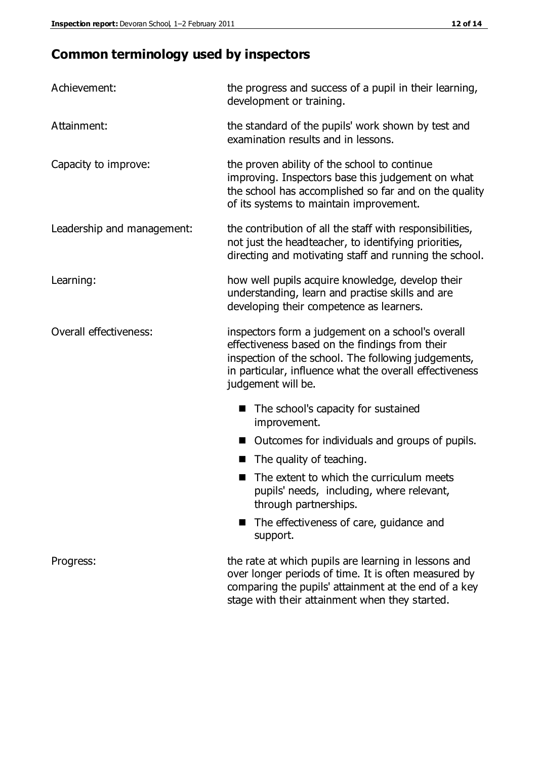# **Common terminology used by inspectors**

| Achievement:                  | the progress and success of a pupil in their learning,<br>development or training.                                                                                                                                                          |  |  |
|-------------------------------|---------------------------------------------------------------------------------------------------------------------------------------------------------------------------------------------------------------------------------------------|--|--|
| Attainment:                   | the standard of the pupils' work shown by test and<br>examination results and in lessons.                                                                                                                                                   |  |  |
| Capacity to improve:          | the proven ability of the school to continue<br>improving. Inspectors base this judgement on what<br>the school has accomplished so far and on the quality<br>of its systems to maintain improvement.                                       |  |  |
| Leadership and management:    | the contribution of all the staff with responsibilities,<br>not just the headteacher, to identifying priorities,<br>directing and motivating staff and running the school.                                                                  |  |  |
| Learning:                     | how well pupils acquire knowledge, develop their<br>understanding, learn and practise skills and are<br>developing their competence as learners.                                                                                            |  |  |
| <b>Overall effectiveness:</b> | inspectors form a judgement on a school's overall<br>effectiveness based on the findings from their<br>inspection of the school. The following judgements,<br>in particular, influence what the overall effectiveness<br>judgement will be. |  |  |
|                               | The school's capacity for sustained<br>improvement.                                                                                                                                                                                         |  |  |
|                               | Outcomes for individuals and groups of pupils.                                                                                                                                                                                              |  |  |
|                               | The quality of teaching.                                                                                                                                                                                                                    |  |  |
|                               | The extent to which the curriculum meets<br>pupils' needs, including, where relevant,<br>through partnerships.                                                                                                                              |  |  |
|                               | The effectiveness of care, guidance and<br>support.                                                                                                                                                                                         |  |  |
| Progress:                     | the rate at which pupils are learning in lessons and<br>over longer periods of time. It is often measured by<br>comparing the pupils' attainment at the end of a key                                                                        |  |  |

stage with their attainment when they started.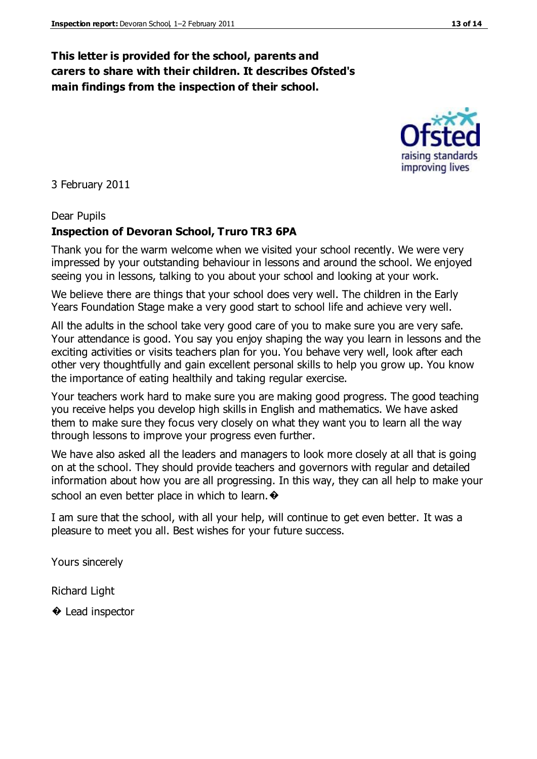# **This letter is provided for the school, parents and carers to share with their children. It describes Ofsted's main findings from the inspection of their school.**

3 February 2011

### Dear Pupils

# **Inspection of Devoran School, Truro TR3 6PA**

Thank you for the warm welcome when we visited your school recently. We were very impressed by your outstanding behaviour in lessons and around the school. We enjoyed seeing you in lessons, talking to you about your school and looking at your work.

We believe there are things that your school does very well. The children in the Early Years Foundation Stage make a very good start to school life and achieve very well.

All the adults in the school take very good care of you to make sure you are very safe. Your attendance is good. You say you enjoy shaping the way you learn in lessons and the exciting activities or visits teachers plan for you. You behave very well, look after each other very thoughtfully and gain excellent personal skills to help you grow up. You know the importance of eating healthily and taking regular exercise.

Your teachers work hard to make sure you are making good progress. The good teaching you receive helps you develop high skills in English and mathematics. We have asked them to make sure they focus very closely on what they want you to learn all the way through lessons to improve your progress even further.

We have also asked all the leaders and managers to look more closely at all that is going on at the school. They should provide teachers and governors with regular and detailed information about how you are all progressing. In this way, they can all help to make your school an even better place in which to learn.  $\bullet$ 

I am sure that the school, with all your help, will continue to get even better. It was a pleasure to meet you all. Best wishes for your future success.

Yours sincerely

Richard Light

**♦** Lead inspector